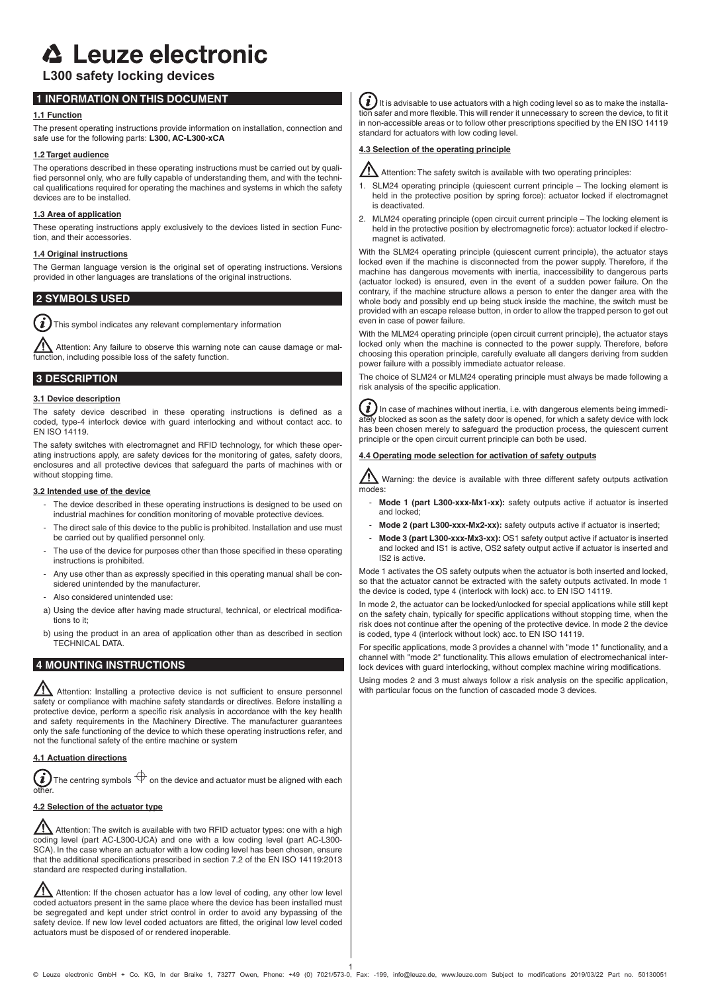# **△ Leuze electronic**

# **L300 safety locking devices**

# **1 INFORMATION ON THIS DOCUMENT**

## **1.1 Function**

The present operating instructions provide information on installation, connection and safe use for the following parts: **L300, AC-L300-xCA**

## **1.2 Target audience**

The operations described in these operating instructions must be carried out by qualified personnel only, who are fully capable of understanding them, and with the technical qualifications required for operating the machines and systems in which the safety devices are to be installed.

## **1.3 Area of application**

These operating instructions apply exclusively to the devices listed in section Function, and their accessories.

## **1.4 Original instructions**

The German language version is the original set of operating instructions. Versions provided in other languages are translations of the original instructions.

# **2 SYMBOLS USED**

i This symbol indicates any relevant complementary information

 Attention: Any failure to observe this warning note can cause damage or malfunction, including possible loss of the safety function.

## **3 DESCRIPTION**

## **3.1 Device description**

The safety device described in these operating instructions is defined as a coded, type-4 interlock device with guard interlocking and without contact acc. to EN ISO 14119.

The safety switches with electromagnet and RFID technology, for which these operating instructions apply, are safety devices for the monitoring of gates, safety doors, enclosures and all protective devices that safeguard the parts of machines with or without stopping time.

## **3.2 Intended use of the device**

- The device described in these operating instructions is designed to be used on industrial machines for condition monitoring of movable protective devices.
- The direct sale of this device to the public is prohibited. Installation and use must be carried out by qualified personnel only.
- The use of the device for purposes other than those specified in these operating instructions is prohibited.
- Any use other than as expressly specified in this operating manual shall be considered unintended by the manufacturer.
- Also considered unintended use:
- a) Using the device after having made structural, technical, or electrical modifications to it;
- b) using the product in an area of application other than as described in section TECHNICAL DATA.

## **4 MOUNTING INSTRUCTIONS**

 $\overline{\mathbf{A}}$  Attention: Installing a protective device is not sufficient to ensure personnel safety or compliance with machine safety standards or directives. Before installing a protective device, perform a specific risk analysis in accordance with the key health and safety requirements in the Machinery Directive. The manufacturer guarantees only the safe functioning of the device to which these operating instructions refer, and not the functional safety of the entire machine or system

## **4.1 Actuation directions**

 $\Theta$  The centring symbols  $\mathop\oplus$  on the device and actuator must be aligned with each  $(i$ other.

## **4.2 Selection of the actuator type**

Attention: The switch is available with two RFID actuator types: one with a high coding level (part AC-L300-UCA) and one with a low coding level (part AC-L300- SCA). In the case where an actuator with a low coding level has been chosen, ensure that the additional specifications prescribed in section 7.2 of the EN ISO 14119:2013 standard are respected during installation.

 $\sqrt{\frac{1}{\sqrt{1}}}$  Attention: If the chosen actuator has a low level of coding, any other low level coded actuators present in the same place where the device has been installed must be segregated and kept under strict control in order to avoid any bypassing of the safety device. If new low level coded actuators are fitted, the original low level coded actuators must be disposed of or rendered inoperable.

 $\bm{i}$ ) It is advisable to use actuators with a high coding level so as to make the installation safer and more flexible. This will render it unnecessary to screen the device, to fit it in non-accessible areas or to follow other prescriptions specified by the EN ISO 14119 standard for actuators with low coding level.

## **4.3 Selection of the operating principle**



- $\sum$  Attention: The safety switch is available with two operating principles:
- 1. SLM24 operating principle (quiescent current principle The locking element is held in the protective position by spring force): actuator locked if electromagnet is deactivated.
- 2. MLM24 operating principle (open circuit current principle The locking element is held in the protective position by electromagnetic force): actuator locked if electromagnet is activated.

With the SLM24 operating principle (quiescent current principle), the actuator stays locked even if the machine is disconnected from the power supply. Therefore, if the machine has dangerous movements with inertia, inaccessibility to dangerous parts (actuator locked) is ensured, even in the event of a sudden power failure. On the contrary, if the machine structure allows a person to enter the danger area with the whole body and possibly end up being stuck inside the machine, the switch must be provided with an escape release button, in order to allow the trapped person to get out even in case of power failure.

With the MLM24 operating principle (open circuit current principle), the actuator stays locked only when the machine is connected to the power supply. Therefore, before choosing this operation principle, carefully evaluate all dangers deriving from sudden power failure with a possibly immediate actuator release.

The choice of SLM24 or MLM24 operating principle must always be made following a risk analysis of the specific application.

 $\boldsymbol{i}$ In case of machines without inertia, i.e. with dangerous elements being immedily blocked as soon as the safety door is opened, for which a safety device with lock has been chosen merely to safeguard the production process, the quiescent current principle or the open circuit current principle can both be used.

## **4.4 Operating mode selection for activation of safety outputs**

 $\sum$  Warning: the device is available with three different safety outputs activation modes

- Mode 1 (part L300-xxx-Mx1-xx): safety outputs active if actuator is inserted and locked;
- Mode 2 (part L300-xxx-Mx2-xx): safety outputs active if actuator is inserted;
- Mode 3 (part L300-xxx-Mx3-xx): OS1 safety output active if actuator is inserted and locked and IS1 is active, OS2 safety output active if actuator is inserted and IS2 is active.

Mode 1 activates the OS safety outputs when the actuator is both inserted and locked, so that the actuator cannot be extracted with the safety outputs activated. In mode 1 the device is coded, type 4 (interlock with lock) acc. to EN ISO 14119.

In mode 2, the actuator can be locked/unlocked for special applications while still kept on the safety chain, typically for specific applications without stopping time, when the risk does not continue after the opening of the protective device. In mode 2 the device is coded, type 4 (interlock without lock) acc. to EN ISO 14119.

For specific applications, mode 3 provides a channel with "mode 1" functionality, and a channel with "mode 2" functionality. This allows emulation of electromechanical interlock devices with guard interlocking, without complex machine wiring modifications.

Using modes 2 and 3 must always follow a risk analysis on the specific application, with particular focus on the function of cascaded mode 3 devices.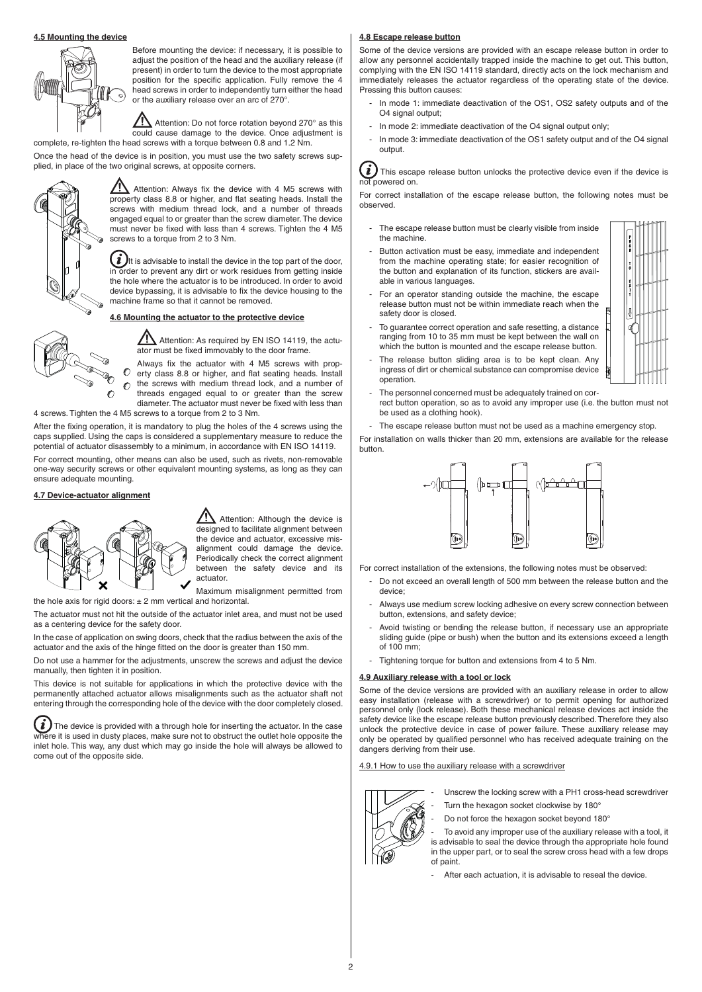#### **4.5 Mounting the device**



Before mounting the device: if necessary, it is possible to adjust the position of the head and the auxiliary release (if present) in order to turn the device to the most appropriate position for the specific application. Fully remove the 4 head screws in order to independently turn either the head or the auxiliary release over an arc of 270°.

 $\Lambda$  Attention: Do not force rotation beyond 270 $^{\circ}$  as this could cause damage to the device. Once adjustment is complete, re-tighten the head screws with a torque between 0.8 and 1.2 Nm.

Once the head of the device is in position, you must use the two safety screws supplied, in place of the two original screws, at opposite corners.



 $\sqrt{\phantom{a}}\phantom{a}$  Attention: Always fix the device with 4 M5 screws with property class 8.8 or higher, and flat seating heads. Install the screws with medium thread lock, and a number of threads engaged equal to or greater than the screw diameter. The device must never be fixed with less than 4 screws. Tighten the 4 M5 screws to a torque from 2 to 3 Nm.

 $\vec{l}$  ) It is advisable to install the device in the top part of the door, in order to prevent any dirt or work residues from getting inside the hole where the actuator is to be introduced. In order to avoid device bypassing, it is advisable to fix the device housing to the machine frame so that it cannot be removed.

## **4.6 Mounting the actuator to the protective device**



 $\sqrt{\phantom{a}}\phantom{a}$  Attention: As required by EN ISO 14119, the actuator must be fixed immovably to the door frame.

Always fix the actuator with 4 M5 screws with property class 8.8 or higher, and flat seating heads. Install the screws with medium thread lock, and a number of threads engaged equal to or greater than the screw

diameter. The actuator must never be fixed with less than 4 screws. Tighten the 4 M5 screws to a torque from 2 to 3 Nm.

After the fixing operation, it is mandatory to plug the holes of the 4 screws using the caps supplied. Using the caps is considered a supplementary measure to reduce the potential of actuator disassembly to a minimum, in accordance with EN ISO 14119.

For correct mounting, other means can also be used, such as rivets, non-removable one-way security screws or other equivalent mounting systems, as long as they can ensure adequate mounting.

## **4.7 Device-actuator alignment**



Attention: Although the device is designed to facilitate alignment between the device and actuator, excessive misalignment could damage the device. Periodically check the correct alignment between the safety device and its actuator.

Maximum misalignment permitted from the hole axis for rigid doors:  $\pm 2$  mm vertical and horizontal.

The actuator must not hit the outside of the actuator inlet area, and must not be used as a centering device for the safety door.

In the case of application on swing doors, check that the radius between the axis of the actuator and the axis of the hinge fitted on the door is greater than 150 mm.

Do not use a hammer for the adjustments, unscrew the screws and adjust the device manually, then tighten it in position.

This device is not suitable for applications in which the protective device with the permanently attached actuator allows misalignments such as the actuator shaft not entering through the corresponding hole of the device with the door completely closed.

 $(i$ The device is provided with a through hole for inserting the actuator. In the case where it is used in dusty places, make sure not to obstruct the outlet hole opposite the inlet hole. This way, any dust which may go inside the hole will always be allowed to come out of the opposite side.

#### **4.8 Escape release button**

Some of the device versions are provided with an escape release button in order to allow any personnel accidentally trapped inside the machine to get out. This button, complying with the EN ISO 14119 standard, directly acts on the lock mechanism and immediately releases the actuator regardless of the operating state of the device. Pressing this button causes:

- In mode 1: immediate deactivation of the OS1, OS2 safety outputs and of the O4 signal output;
- In mode 2: immediate deactivation of the O4 signal output only;
- In mode 3: immediate deactivation of the OS1 safety output and of the O4 signal output.

 $(i)$  This escape release button unlocks the protective device even if the device is powered on.

For correct installation of the escape release button, the following notes must be observed.

- The escape release button must be clearly visible from inside the machine.
- Button activation must be easy, immediate and independent from the machine operating state; for easier recognition of the button and explanation of its function, stickers are available in various languages.
- For an operator standing outside the machine, the escape release button must not be within immediate reach when the safety door is closed.
- To guarantee correct operation and safe resetting, a distance ranging from 10 to 35 mm must be kept between the wall on which the button is mounted and the escape release button.
- The release button sliding area is to be kept clean. Any ingress of dirt or chemical substance can compromise device operation.
- The personnel concerned must be adequately trained on correct button operation, so as to avoid any improper use (i.e. the button must not be used as a clothing hook).
- The escape release button must not be used as a machine emergency stop.

For installation on walls thicker than 20 mm, extensions are available for the release button.



For correct installation of the extensions, the following notes must be observed:

- Do not exceed an overall length of 500 mm between the release button and the device;
- Always use medium screw locking adhesive on every screw connection between button, extensions, and safety device;
- Avoid twisting or bending the release button, if necessary use an appropriate sliding guide (pipe or bush) when the button and its extensions exceed a length of 100 mm;
- Tightening torque for button and extensions from 4 to 5 Nm.

#### **4.9 Auxiliary release with a tool or lock**

Some of the device versions are provided with an auxiliary release in order to allow easy installation (release with a screwdriver) or to permit opening for authorized personnel only (lock release). Both these mechanical release devices act inside the safety device like the escape release button previously described. Therefore they also unlock the protective device in case of power failure. These auxiliary release may only be operated by qualified personnel who has received adequate training on the dangers deriving from their use.

.9.1 How to use the auxiliary release with a screwdriver



- Unscrew the locking screw with a PH1 cross-head screwdriver
- Turn the hexagon socket clockwise by 180°
- Do not force the hexagon socket beyond 180°

To avoid any improper use of the auxiliary release with a tool, it is advisable to seal the device through the appropriate hole found in the upper part, or to seal the screw cross head with a few drops of paint.

After each actuation, it is advisable to reseal the device.

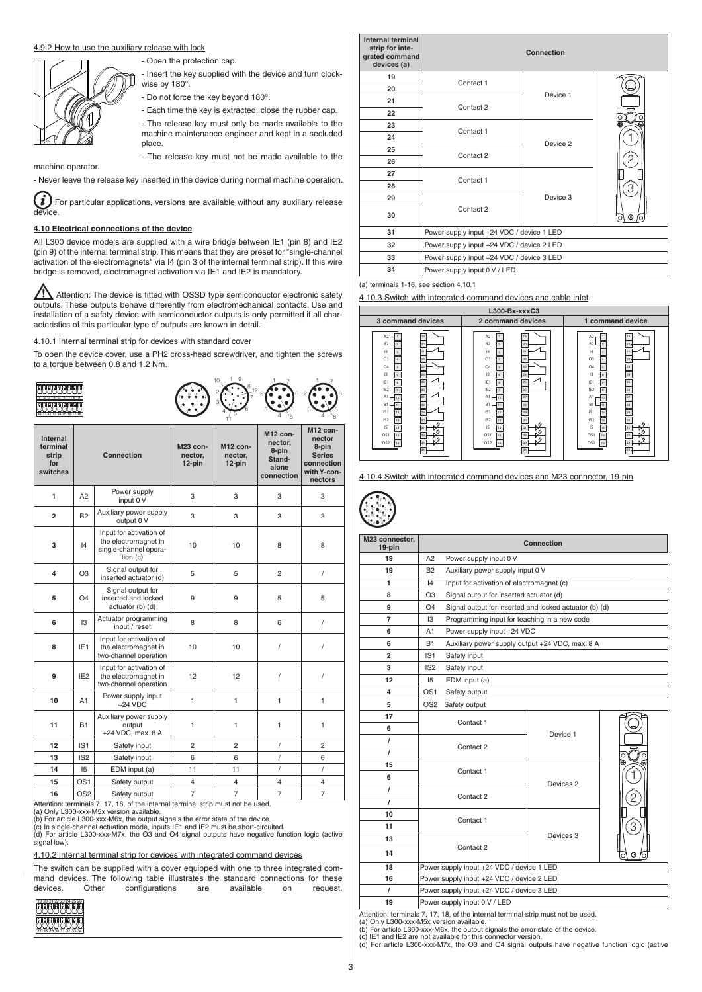## 4.9.2 How to use the auxiliary release with lock

- Open the protection cap.

place.

- Insert the key supplied with the device and turn clockwise by 180°.

- Do not force the key beyond 180°.

- Each time the key is extracted, close the rubber cap. - The release key must only be made available to the machine maintenance engineer and kept in a secluded
- The release key must not be made available to the

machine operator.

- Never leave the release key inserted in the device during normal machine operation.

 $(i)$  For particular applications, versions are available without any auxiliary release device.

## **4.10 Electrical connections of the device**

All L300 device models are supplied with a wire bridge between IE1 (pin 8) and IE2 (pin 9) of the internal terminal strip. This means that they are preset for "single-channel activation of the electromagnets" via I4 (pin 3 of the internal terminal strip). If this wire bridge is removed, electromagnet activation via IE1 and IE2 is mandatory.

 $\sqrt{\Lambda}$  Attention: The device is fitted with OSSD type semiconductor electronic safety outputs. These outputs behave differently from electromechanical contacts. Use and installation of a safety device with semiconductor outputs is only permitted if all characteristics of this particular type of outputs are known in detail.

#### 4.10.1 Internal terminal strip for devices with standard cover

To open the device cover, use a PH2 cross-head screwdriver, and tighten the screws to a torque between 0.8 and 1.2 Nm.





| <b>Internal</b><br>terminal<br>strip<br>for<br>switches |                 | <b>Connection</b>                                                                                 | M23 con-<br>nector,<br>12-pin | M12 con-<br>nector.<br>12-pin | M12 con-<br>nector,<br>8-pin<br>Stand-<br>alone<br>connection | M12 con-<br>nector<br>8-pin<br><b>Series</b><br>connection<br>with Y-con-<br>nectors |
|---------------------------------------------------------|-----------------|---------------------------------------------------------------------------------------------------|-------------------------------|-------------------------------|---------------------------------------------------------------|--------------------------------------------------------------------------------------|
| 1                                                       | A <sub>2</sub>  | Power supply<br>input 0 V                                                                         | 3                             | 3                             | 3                                                             | 3                                                                                    |
| 2                                                       | <b>B2</b>       | Auxiliary power supply<br>output 0 V                                                              | 3                             | 3                             | 3                                                             | 3                                                                                    |
| 3                                                       | 4               | Input for activation of<br>the electromagnet in<br>single-channel opera-<br>tion $(c)$            | 10                            | 10                            | 8                                                             | 8                                                                                    |
| 4                                                       | O <sub>3</sub>  | Signal output for<br>inserted actuator (d)                                                        | 5                             | 5                             | $\overline{2}$                                                | $\sqrt{2}$                                                                           |
| 5                                                       | O <sub>4</sub>  | Signal output for<br>inserted and locked<br>actuator (b) (d)                                      | 9                             | 9                             | 5                                                             | 5                                                                                    |
| 6                                                       | 13              | Actuator programming<br>input / reset                                                             | 8                             | 8                             | 6                                                             | $\sqrt{2}$                                                                           |
| 8                                                       | IE <sub>1</sub> | Input for activation of<br>the electromagnet in<br>two-channel operation                          | 10                            | 10                            | 1                                                             | /                                                                                    |
| 9                                                       | IE <sub>2</sub> | Input for activation of<br>the electromagnet in<br>two-channel operation                          | 12                            | 12                            | 1                                                             | I                                                                                    |
| 10                                                      | A1              | Power supply input<br>$+24$ VDC                                                                   | $\mathbf{1}$                  | $\mathbf{1}$                  | 1                                                             | $\mathbf{1}$                                                                         |
| 11                                                      | <b>B1</b>       | Auxiliary power supply<br>output<br>+24 VDC, max. 8 A                                             | 1                             | $\mathbf{1}$                  | 1                                                             | 1                                                                                    |
| 12                                                      | IS <sub>1</sub> | Safety input                                                                                      | $\overline{2}$                | 2                             | 1                                                             | $\overline{2}$                                                                       |
| 13                                                      | IS <sub>2</sub> | Safety input                                                                                      | 6                             | 6                             | $\sqrt{\phantom{a}}$                                          | 6                                                                                    |
| 14                                                      | 15              | EDM input (a)                                                                                     | 11                            | 11                            | 1                                                             | $\prime$                                                                             |
| 15                                                      | OS <sub>1</sub> | Safety output                                                                                     | 4                             | $\overline{4}$                | $\overline{4}$                                                | $\overline{\mathbf{4}}$                                                              |
| 16                                                      | OS <sub>2</sub> | Safety output<br>Attention: terminals 7, 17, 18, of the internal terminal strip must not be used. | 7                             | 7                             | $\overline{7}$                                                | $\overline{7}$                                                                       |

(a) Only L300-xxx-M5x version available.<br>(b) For article L300-xxx-M6x, the output signals the error state of the device.<br>(c) In single-channel actuation mode, inputs IE1 and IE2 must be short-circuited.

(d) For article L300-xxx-M7x, the O3 and O4 signal outputs have negative function logic (active ..<sub>.</sub>........<br>ignal low)

4.10.2 Internal terminal strip for devices with integrated command devices

The switch can be supplied with a cover equipped with one to three integrated command devices. The following table illustrates the standard connections for these devices. Other configurations are available on request.



| Internal terminal<br>strip for inte-<br>grated command<br>devices (a) |                                           | Connection                                |        |  |  |  |  |
|-----------------------------------------------------------------------|-------------------------------------------|-------------------------------------------|--------|--|--|--|--|
| 19                                                                    | Contact 1                                 |                                           |        |  |  |  |  |
| 20                                                                    |                                           | Device 1                                  |        |  |  |  |  |
| 21                                                                    | Contact 2                                 |                                           |        |  |  |  |  |
| 22                                                                    |                                           |                                           |        |  |  |  |  |
| 23                                                                    | Contact 1                                 |                                           | ◉<br>€ |  |  |  |  |
| 24                                                                    |                                           | Device 2                                  |        |  |  |  |  |
| 25                                                                    | Contact 2                                 |                                           |        |  |  |  |  |
| 26                                                                    |                                           |                                           |        |  |  |  |  |
| 27                                                                    | Contact 1                                 |                                           |        |  |  |  |  |
| 28                                                                    |                                           |                                           | 3      |  |  |  |  |
| 29                                                                    |                                           | Device 3                                  |        |  |  |  |  |
| 30                                                                    | Contact 2                                 |                                           | O      |  |  |  |  |
| 31                                                                    | Power supply input +24 VDC / device 1 LED |                                           |        |  |  |  |  |
| 32                                                                    | Power supply input +24 VDC / device 2 LED |                                           |        |  |  |  |  |
| 33                                                                    |                                           | Power supply input +24 VDC / device 3 LED |        |  |  |  |  |
| 34                                                                    | Power supply input 0 V / LED              |                                           |        |  |  |  |  |

(a) terminals 1-16, see section 4.10.1

4.10.3 Switch with integrated command devices and cable inlet



4.10.4 Switch with integrated command devices and M23 connector, 19-pin

| $\frac{9}{10}$<br>ĩ. |  |
|----------------------|--|
| ٠                    |  |
|                      |  |

6

| M23 connector,<br>19-pin | Connection                                                   |                                                 |                      |   |  |  |  |  |  |
|--------------------------|--------------------------------------------------------------|-------------------------------------------------|----------------------|---|--|--|--|--|--|
| 19                       | A2                                                           | Power supply input 0 V                          |                      |   |  |  |  |  |  |
| 19                       | <b>B2</b>                                                    | Auxiliary power supply input 0 V                |                      |   |  |  |  |  |  |
| 1                        | 4                                                            | Input for activation of electromagnet (c)       |                      |   |  |  |  |  |  |
| 8                        | O3                                                           | Signal output for inserted actuator (d)         |                      |   |  |  |  |  |  |
| 9                        | Signal output for inserted and locked actuator (b) (d)<br>O4 |                                                 |                      |   |  |  |  |  |  |
| 7                        | 13                                                           | Programming input for teaching in a new code    |                      |   |  |  |  |  |  |
| 6                        | A1                                                           | Power supply input +24 VDC                      |                      |   |  |  |  |  |  |
| 6                        | <b>B1</b>                                                    | Auxiliary power supply output +24 VDC, max. 8 A |                      |   |  |  |  |  |  |
| $\overline{2}$           | IS <sub>1</sub>                                              | Safety input                                    |                      |   |  |  |  |  |  |
| 3                        | IS <sub>2</sub>                                              | Safety input                                    |                      |   |  |  |  |  |  |
| 12                       | 15                                                           | EDM input (a)                                   |                      |   |  |  |  |  |  |
| 4                        | OS <sub>1</sub>                                              | Safety output                                   |                      |   |  |  |  |  |  |
| 5                        | OS <sub>2</sub>                                              | Safety output                                   |                      |   |  |  |  |  |  |
| 17                       |                                                              | Contact 1                                       |                      |   |  |  |  |  |  |
| 6                        |                                                              |                                                 | Device 1             |   |  |  |  |  |  |
| I                        |                                                              | Contact 2                                       |                      |   |  |  |  |  |  |
| $\prime$                 |                                                              |                                                 |                      |   |  |  |  |  |  |
| 15                       |                                                              | Contact 1                                       |                      |   |  |  |  |  |  |
| 6                        |                                                              |                                                 | Devices <sub>2</sub> |   |  |  |  |  |  |
| $\prime$                 |                                                              | Contact 2                                       |                      | 2 |  |  |  |  |  |
| $\prime$                 |                                                              |                                                 |                      |   |  |  |  |  |  |
| 10                       |                                                              | Contact 1                                       |                      |   |  |  |  |  |  |
| 11                       |                                                              |                                                 |                      | З |  |  |  |  |  |
| 13                       |                                                              |                                                 | Devices 3            |   |  |  |  |  |  |
| 14                       |                                                              | Contact 2                                       |                      | C |  |  |  |  |  |
| 18                       |                                                              | Power supply input +24 VDC / device 1 LED       |                      |   |  |  |  |  |  |
| 16                       | Power supply input +24 VDC / device 2 LED                    |                                                 |                      |   |  |  |  |  |  |
| $\prime$                 | Power supply input +24 VDC / device 3 LED                    |                                                 |                      |   |  |  |  |  |  |
| 19                       |                                                              | Power supply input 0 V / LED                    |                      |   |  |  |  |  |  |

Attention: terminals 7, 17, 18, of the internal terminal strip must not be used.<br>(a) Only L300-xxx-M5x version available.<br>(b) For article L300-xxx-M6x, the output signals the error state of the device.

(c) IE1 and IE2 are not available for this connector version. (d) For article L300-xxx-M7x, the O3 and O4 signal outputs have negative function logic (active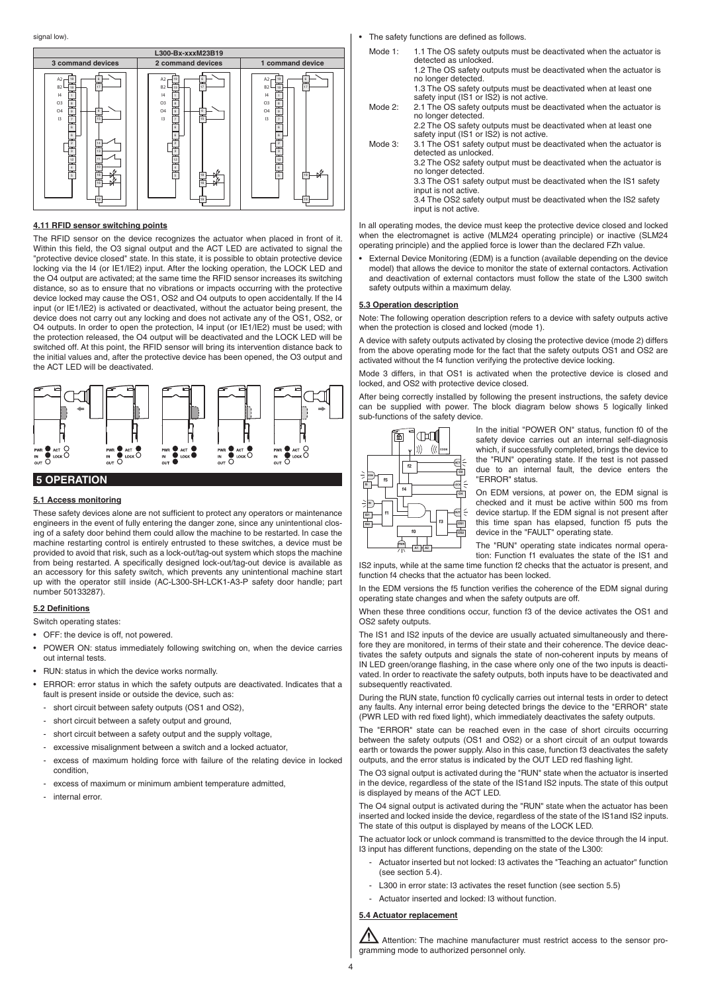

#### **4.11 RFID sensor switching points**

The RFID sensor on the device recognizes the actuator when placed in front of it. Within this field, the O3 signal output and the ACT LED are activated to signal the "protective device closed" state. In this state, it is possible to obtain protective device locking via the I4 (or IE1/IE2) input. After the locking operation, the LOCK LED and the O4 output are activated; at the same time the RFID sensor increases its switching distance, so as to ensure that no vibrations or impacts occurring with the protective device locked may cause the OS1, OS2 and O4 outputs to open accidentally. If the I4 input (or IE1/IE2) is activated or deactivated, without the actuator being present, the device does not carry out any locking and does not activate any of the OS1, OS2, or O4 outputs. In order to open the protection, I4 input (or IE1/IE2) must be used; with the protection released, the O4 output will be deactivated and the LOCK LED will be switched off. At this point, the RFID sensor will bring its intervention distance back to the initial values and, after the protective device has been opened, the O3 output and the ACT LED will be deactivated.



## **5 OPERATION**

## **5.1 Access monitoring**

These safety devices alone are not sufficient to protect any operators or maintenance engineers in the event of fully entering the danger zone, since any unintentional closing of a safety door behind them could allow the machine to be restarted. In case the machine restarting control is entirely entrusted to these switches, a device must be provided to avoid that risk, such as a lock-out/tag-out system which stops the machine from being restarted. A specifically designed lock-out/tag-out device is available as an accessory for this safety switch, which prevents any unintentional machine start up with the operator still inside (AC-L300-SH-LCK1-A3-P safety door handle; part number 50133287).

#### **5.2 Definitions**

Switch operating states:

• OFF: the device is off, not powered.

- POWER ON: status immediately following switching on, when the device carries out internal tests.
- RUN: status in which the device works normally.
- ERROR: error status in which the safety outputs are deactivated. Indicates that a fault is present inside or outside the device, such as:
- short circuit between safety outputs (OS1 and OS2),
- short circuit between a safety output and ground,
- short circuit between a safety output and the supply voltage.
- excessive misalignment between a switch and a locked actuator.
- excess of maximum holding force with failure of the relating device in locked condition,
- excess of maximum or minimum ambient temperature admitted.
- internal error.
- The safety functions are defined as follows.
	- Mode 1: 1.1 The OS safety outputs must be deactivated when the actuator is detected as unlocked. 1.2 The OS safety outputs must be deactivated when the actuator is no longer detected.
		- 1.3 The OS safety outputs must be deactivated when at least one safety input (IS1 or IS2) is not active.
	- Mode 2: 2.1 The OS safety outputs must be deactivated when the actuator is no longer detected.
		- 2.2 The OS safety outputs must be deactivated when at least one safety input (IS1 or IS2) is not active.
	- Mode 3: 3.1 The OS1 safety output must be deactivated when the actuator is detected as unlocked. 3.2 The OS2 safety output must be deactivated when the actuator is
		- no longer detected. 3.3 The OS1 safety output must be deactivated when the IS1 safety

input is not active. 3.4 The OS2 safety output must be deactivated when the IS2 safety

input is not active.

In all operating modes, the device must keep the protective device closed and locked when the electromagnet is active (MLM24 operating principle) or inactive (SLM24 operating principle) and the applied force is lower than the declared FZh value.

• External Device Monitoring (EDM) is a function (available depending on the device model) that allows the device to monitor the state of external contactors. Activation and deactivation of external contactors must follow the state of the L300 switch safety outputs within a maximum delay.

## **5.3 Operation description**

Note: The following operation description refers to a device with safety outputs active when the protection is closed and locked (mode 1).

A device with safety outputs activated by closing the protective device (mode 2) differs from the above operating mode for the fact that the safety outputs OS1 and OS2 are activated without the f4 function verifying the protective device locking.

Mode 3 differs, in that OS1 is activated when the protective device is closed and locked, and OS2 with protective device closed.

After being correctly installed by following the present instructions, the safety device can be supplied with power. The block diagram below shows 5 logically linked sub-functions of the safety device.



In the initial "POWER ON" status, function f0 of the safety device carries out an internal self-diagnosis which, if successfully completed, brings the device to the "RUN" operating state. If the test is not passed due to an internal fault, the device enters the "ERROR" status.

On EDM versions, at power on, the EDM signal is checked and it must be active within 500 ms from device startup. If the EDM signal is not present after this time span has elapsed, function f5 puts the device in the "FAULT" operating state.

The "RUN" operating state indicates normal operation: Function f1 evaluates the state of the IS1 and

IS2 inputs, while at the same time function f2 checks that the actuator is present, and function f4 checks that the actuator has been locked.

In the EDM versions the f5 function verifies the coherence of the EDM signal during operating state changes and when the safety outputs are off.

When these three conditions occur, function f3 of the device activates the OS1 and OS2 safety outputs.

The IS1 and IS2 inputs of the device are usually actuated simultaneously and therefore they are monitored, in terms of their state and their coherence. The device deactivates the safety outputs and signals the state of non-coherent inputs by means of IN LED green/orange flashing, in the case where only one of the two inputs is deactivated. In order to reactivate the safety outputs, both inputs have to be deactivated and subsequently reactivated.

During the RUN state, function f0 cyclically carries out internal tests in order to detect any faults. Any internal error being detected brings the device to the "ERROR" state (PWR LED with red fixed light), which immediately deactivates the safety outputs.

The "ERROR" state can be reached even in the case of short circuits occurring between the safety outputs (OS1 and OS2) or a short circuit of an output towards earth or towards the power supply. Also in this case, function f3 deactivates the safety outputs, and the error status is indicated by the OUT LED red flashing light.

The O3 signal output is activated during the "RUN" state when the actuator is inserted in the device, regardless of the state of the IS1and IS2 inputs. The state of this output is displayed by means of the ACT LED.

The O4 signal output is activated during the "RUN" state when the actuator has been inserted and locked inside the device, regardless of the state of the IS1and IS2 inputs. The state of this output is displayed by means of the LOCK LED.

The actuator lock or unlock command is transmitted to the device through the I4 input. I3 input has different functions, depending on the state of the L300:

- Actuator inserted but not locked: I3 activates the "Teaching an actuator" function (see section 5.4).
- L300 in error state: I3 activates the reset function (see section 5.5)
- Actuator inserted and locked: I3 without function.

#### **5.4 Actuator replacement**

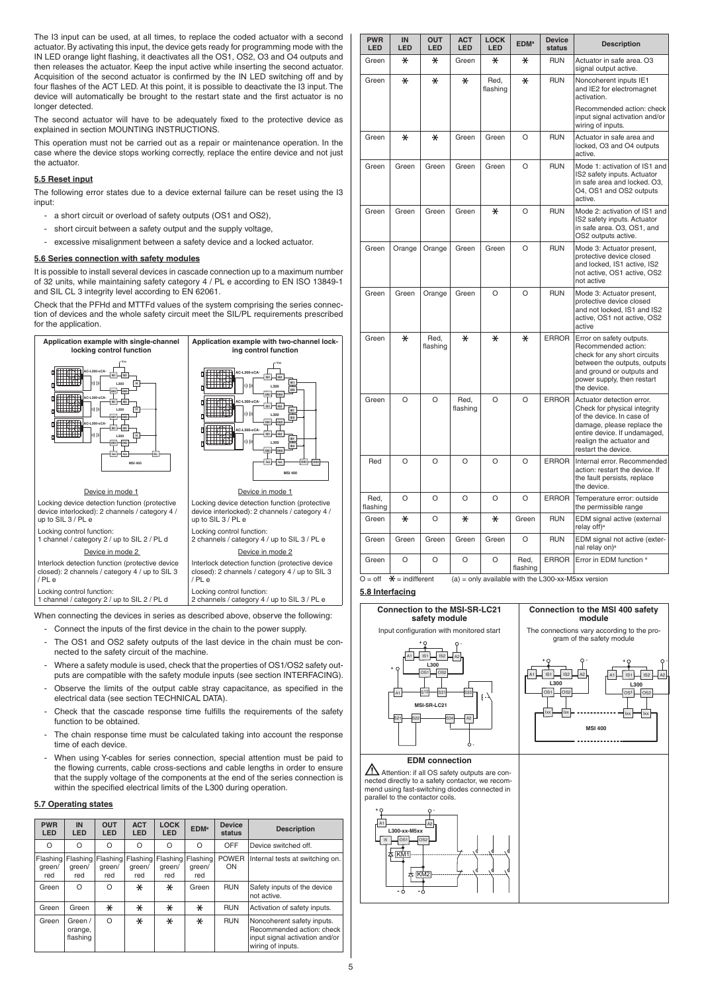The I3 input can be used, at all times, to replace the coded actuator with a second actuator. By activating this input, the device gets ready for programming mode with the IN LED orange light flashing, it deactivates all the OS1, OS2, O3 and O4 outputs and then releases the actuator. Keep the input active while inserting the second actuator. Acquisition of the second actuator is confirmed by the IN LED switching off and by four flashes of the ACT LED. At this point, it is possible to deactivate the I3 input. The device will automatically be brought to the restart state and the first actuator is no longer detected.

The second actuator will have to be adequately fixed to the protective device as explained in section MOUNTING INSTRUCTIONS.

This operation must not be carried out as a repair or maintenance operation. In the case where the device stops working correctly, replace the entire device and not just the actuator.

## **5.5 Reset input**

The following error states due to a device external failure can be reset using the I3 input:

- a short circuit or overload of safety outputs (OS1 and OS2),
- short circuit between a safety output and the supply voltage,
- excessive misalignment between a safety device and a locked actuator.

## **5.6 Series connection with safety modules**

It is possible to install several devices in cascade connection up to a maximum number of 32 units, while maintaining safety category 4 / PL e according to EN ISO 13849-1 and SIL CL 3 integrity level according to EN 62061.

Check that the PFHd and MTTFd values of the system comprising the series connection of devices and the whole safety circuit meet the SIL/PL requirements prescribed for the application.



When connecting the devices in series as described above, observe the following:

- Connect the inputs of the first device in the chain to the power supply.
- The OS1 and OS2 safety outputs of the last device in the chain must be connected to the safety circuit of the machine.
- Where a safety module is used, check that the properties of OS1/OS2 safety outputs are compatible with the safety module inputs (see section INTERFACING).
- Observe the limits of the output cable stray capacitance, as specified in the electrical data (see section TECHNICAL DATA).
- Check that the cascade response time fulfills the requirements of the safety function to be obtained.
- The chain response time must be calculated taking into account the response time of each device.
- When using Y-cables for series connection, special attention must be paid to the flowing currents, cable cross-sections and cable lengths in order to ensure that the supply voltage of the components at the end of the series connection is within the specified electrical limits of the L300 during operation.

## **5.7 Operating states**

| <b>PWR</b><br><b>LED</b> | IN<br>LED                          | <b>OUT</b><br>LED         | <b>ACT</b><br>LED         | <b>LOCK</b><br>LED        | <b>EDM</b> <sup>a</sup>   | <b>Device</b><br>status | <b>Description</b>                                                                                             |
|--------------------------|------------------------------------|---------------------------|---------------------------|---------------------------|---------------------------|-------------------------|----------------------------------------------------------------------------------------------------------------|
| $\Omega$                 | $\Omega$                           | O                         | O                         | $\Omega$                  | O                         | OFF                     | Device switched off.                                                                                           |
| green/<br>red            | Flashing Flashing<br>green/<br>red | Flashing<br>areen/<br>red | Flashing<br>green/<br>red | Flashing<br>areen/<br>red | Flashing<br>green/<br>red | <b>POWER</b><br>ON      | Internal tests at switching on.                                                                                |
| Green                    | $\Omega$                           | O                         | $\ast$                    | $\ast$                    | Green                     | <b>RUN</b>              | Safety inputs of the device<br>not active.                                                                     |
| Green                    | Green                              | $\ast$                    | $\ast$                    | $\ast$                    | ⋇                         | <b>RUN</b>              | Activation of safety inputs.                                                                                   |
| Green                    | Green /<br>orange,<br>flashing     | $\Omega$                  | $\ast$                    | $\ast$                    | $\ast$                    | <b>RUN</b>              | Noncoherent safety inputs.<br>Recommended action: check<br>input signal activation and/or<br>wiring of inputs. |

| <b>PWR</b><br>LED | IN<br>LED | OUT<br><b>LED</b> | <b>ACT</b><br>LED | <b>LOCK</b><br><b>LED</b> | <b>EDM<sup>a</sup></b> | <b>Device</b><br>status | <b>Description</b>                                                                                                                                                                                      |
|-------------------|-----------|-------------------|-------------------|---------------------------|------------------------|-------------------------|---------------------------------------------------------------------------------------------------------------------------------------------------------------------------------------------------------|
| Green             | $\ast$    | $\ast$            | Green             | $\ast$                    | $\ast$                 | <b>RUN</b>              | Actuator in safe area. O3<br>signal output active.                                                                                                                                                      |
| Green             | $\ast$    | $\ast$            | $\ast$            | Red,<br>flashing          | $\ast$                 | <b>RUN</b>              | Noncoherent inputs IE1<br>and IE2 for electromagnet<br>activation.                                                                                                                                      |
|                   |           |                   |                   |                           |                        |                         | Recommended action: check<br>input signal activation and/or<br>wiring of inputs.                                                                                                                        |
| Green             | $\ast$    | $\ast$            | Green             | Green                     | O                      | <b>RUN</b>              | Actuator in safe area and<br>locked, O3 and O4 outputs<br>active.                                                                                                                                       |
| Green             | Green     | Green             | Green             | Green                     | O                      | <b>RUN</b>              | Mode 1: activation of IS1 and<br>IS2 safety inputs. Actuator<br>in safe area and locked. O3,<br>O4, OS1 and OS2 outputs<br>active.                                                                      |
| Green             | Green     | Green             | Green             | ⋇                         | O                      | <b>RUN</b>              | Mode 2: activation of IS1 and<br>IS2 safety inputs. Actuator<br>in safe area. O3, OS1, and<br>OS2 outputs active.                                                                                       |
| Green             | Orange    | Orange            | Green             | Green                     | $\Omega$               | <b>RUN</b>              | Mode 3: Actuator present,<br>protective device closed<br>and locked, IS1 active, IS2<br>not active, OS1 active, OS2<br>not active                                                                       |
| Green             | Green     | Orange            | Green             | O                         | $\Omega$               | <b>RUN</b>              | Mode 3: Actuator present,<br>protective device closed<br>and not locked, IS1 and IS2<br>active, OS1 not active, OS2<br>active                                                                           |
| Green             | $\ast$    | Red,<br>flashing  | $\ast$            | $\ast$                    | $\ast$                 | <b>ERROR</b>            | Error on safety outputs.<br>Recommended action:<br>check for any short circuits<br>between the outputs, outputs<br>and ground or outputs and<br>power supply, then restart<br>the device.               |
| Green             | O         | O                 | Red,<br>flashing  | O                         | O                      | <b>ERROR</b>            | Actuator detection error.<br>Check for physical integrity<br>of the device. In case of<br>damage, please replace the<br>entire device. If undamaged,<br>realign the actuator and<br>restart the device. |
| Red               | $\Omega$  | $\Omega$          | $\Omega$          | $\Omega$                  | $\Omega$               | <b>ERROR</b>            | Internal error. Recommended<br>action: restart the device. If<br>the fault persists, replace<br>the device.                                                                                             |
| Red,<br>flashing  | $\Omega$  | $\Omega$          | $\Omega$          | O                         | $\Omega$               | <b>ERROR</b>            | Temperature error: outside<br>the permissible range                                                                                                                                                     |
| Green             | $\ast$    | O                 | $\ast$            | $\ast$                    | Green                  | <b>RUN</b>              | EDM signal active (external<br>relay off) <sup>a</sup>                                                                                                                                                  |
| Green             | Green     | Green             | Green             | Green                     | O                      | <b>RUN</b>              | EDM signal not active (exter-<br>nal relay on) <sup>a</sup>                                                                                                                                             |
| Green             | O         | O                 | O                 | O                         | Red,<br>flashing       | <b>ERROR</b>            | Error in EDM function a                                                                                                                                                                                 |
| $-11$             | 1.1.100   | $\overline{1}$    | $\ell = 1$        |                           | <b>SELL ALL</b>        | 1.000115                |                                                                                                                                                                                                         |

 $(a)$  = only available with the L

## **5.8 Interfacing**

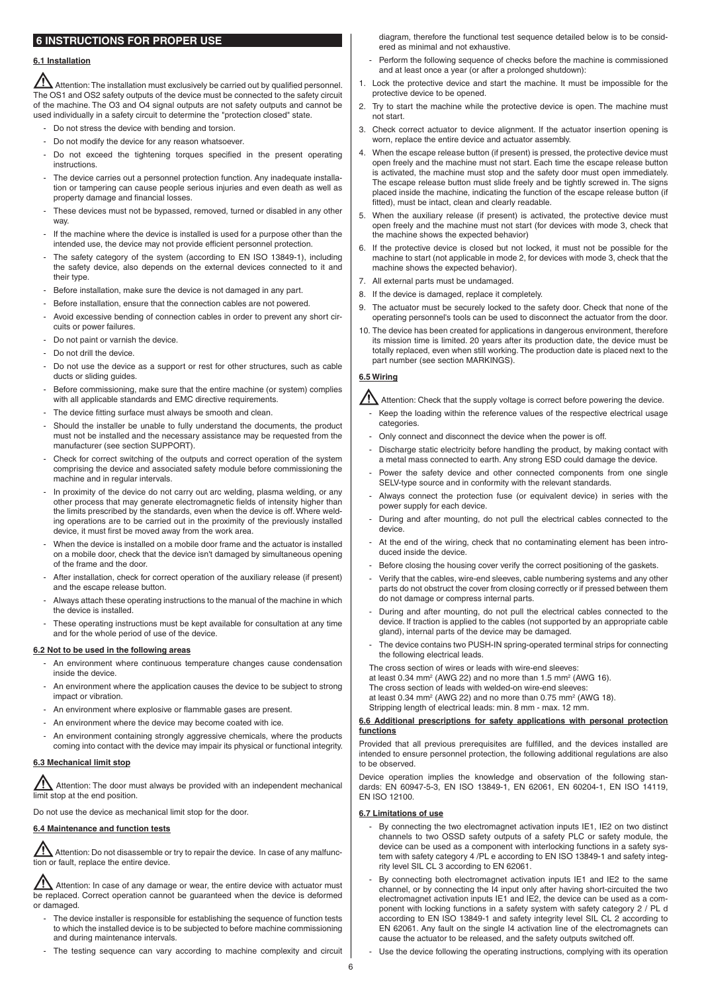## **6 INSTRUCTIONS FOR PROPER USE**

## **6.1 Installation**

 $\overline{\Delta}$  Attention: The installation must exclusively be carried out by qualified personnel. The OS1 and OS2 safety outputs of the device must be connected to the safety circuit of the machine. The O3 and O4 signal outputs are not safety outputs and cannot be used individually in a safety circuit to determine the "protection closed" state.

- Do not stress the device with bending and torsion.
- Do not modify the device for any reason whatsoever.
- Do not exceed the tightening torques specified in the present operating instructions.
- The device carries out a personnel protection function. Any inadequate installation or tampering can cause people serious injuries and even death as well as property damage and financial losses.
- These devices must not be bypassed, removed, turned or disabled in any other way.
- If the machine where the device is installed is used for a purpose other than the intended use, the device may not provide efficient personnel protection.
- The safety category of the system (according to EN ISO 13849-1), including the safety device, also depends on the external devices connected to it and their type.
- Before installation, make sure the device is not damaged in any part.
- Before installation, ensure that the connection cables are not powered.
- Avoid excessive bending of connection cables in order to prevent any short circuits or power failures.
- Do not paint or varnish the device.
- Do not drill the device.
- Do not use the device as a support or rest for other structures, such as cable ducts or sliding guides.
- Before commissioning, make sure that the entire machine (or system) complies with all applicable standards and EMC directive requirements.
- The device fitting surface must always be smooth and clean.
- Should the installer be unable to fully understand the documents, the product must not be installed and the necessary assistance may be requested from the manufacturer (see section SUPPORT).
- Check for correct switching of the outputs and correct operation of the system comprising the device and associated safety module before commissioning the machine and in regular intervals.
- In proximity of the device do not carry out arc welding, plasma welding, or any other process that may generate electromagnetic fields of intensity higher than the limits prescribed by the standards, even when the device is off. Where welding operations are to be carried out in the proximity of the previously installed device, it must first be moved away from the work area.
- When the device is installed on a mobile door frame and the actuator is installed on a mobile door, check that the device isn't damaged by simultaneous opening of the frame and the door.
- After installation, check for correct operation of the auxiliary release (if present) and the escape release button.
- Always attach these operating instructions to the manual of the machine in which the device is installed.
- These operating instructions must be kept available for consultation at any time and for the whole period of use of the device.

#### **6.2 Not to be used in the following areas**

- An environment where continuous temperature changes cause condensation inside the device.
- An environment where the application causes the device to be subject to strong impact or vibration.
- An environment where explosive or flammable gases are present.
- An environment where the device may become coated with ice.
- An environment containing strongly aggressive chemicals, where the products coming into contact with the device may impair its physical or functional integrity.

#### **6.3 Mechanical limit stop**

Attention: The door must always be provided with an independent mechanical limit stop at the end position.

Do not use the device as mechanical limit stop for the door.

## **6.4 Maintenance and function tests**

 $\sqrt{\!1}$  Attention: Do not disassemble or try to repair the device. In case of any malfunction or fault, replace the entire device.

 $\sqrt{\frac{1}{1}}$  Attention: In case of any damage or wear, the entire device with actuator must be replaced. Correct operation cannot be guaranteed when the device is deformed or damaged.

- The device installer is responsible for establishing the sequence of function tests to which the installed device is to be subjected to before machine commissioning and during maintenance intervals.
- The testing sequence can vary according to machine complexity and circuit

diagram, therefore the functional test sequence detailed below is to be considered as minimal and not exhaustive.

- Perform the following sequence of checks before the machine is commissioned and at least once a year (or after a prolonged shutdown):
- 1. Lock the protective device and start the machine. It must be impossible for the protective device to be opened.
- 2. Try to start the machine while the protective device is open. The machine must not start.
- 3. Check correct actuator to device alignment. If the actuator insertion opening is worn, replace the entire device and actuator assembly.
- 4. When the escape release button (if present) is pressed, the protective device must open freely and the machine must not start. Each time the escape release button is activated, the machine must stop and the safety door must open immediately. The escape release button must slide freely and be tightly screwed in. The signs placed inside the machine, indicating the function of the escape release button (if fitted), must be intact, clean and clearly readable.
- 5. When the auxiliary release (if present) is activated, the protective device must open freely and the machine must not start (for devices with mode 3, check that the machine shows the expected behavior)
- 6. If the protective device is closed but not locked, it must not be possible for the machine to start (not applicable in mode 2, for devices with mode 3, check that the machine shows the expected behavior).
- 7. All external parts must be undamaged.
- 8. If the device is damaged, replace it completely.
- 9. The actuator must be securely locked to the safety door. Check that none of the operating personnel's tools can be used to disconnect the actuator from the door.
- 10. The device has been created for applications in dangerous environment, therefore its mission time is limited. 20 years after its production date, the device must be totally replaced, even when still working. The production date is placed next to the part number (see section MARKINGS).

## **6.5 Wiring**

 $\sqrt{\frac{1}{1}}$  Attention: Check that the supply voltage is correct before powering the device.

- Keep the loading within the reference values of the respective electrical usage categories.
- Only connect and disconnect the device when the power is off.
- Discharge static electricity before handling the product, by making contact with a metal mass connected to earth. Any strong ESD could damage the device.
- Power the safety device and other connected components from one single SELV-type source and in conformity with the relevant standards.
- Always connect the protection fuse (or equivalent device) in series with the power supply for each device.
- During and after mounting, do not pull the electrical cables connected to the device.
- At the end of the wiring, check that no contaminating element has been introduced inside the device.
- Before closing the housing cover verify the correct positioning of the gaskets.
- Verify that the cables, wire-end sleeves, cable numbering systems and any other parts do not obstruct the cover from closing correctly or if pressed between them do not damage or compress internal parts.
- During and after mounting, do not pull the electrical cables connected to the device. If traction is applied to the cables (not supported by an appropriate cable gland), internal parts of the device may be damaged.
- The device contains two PUSH-IN spring-operated terminal strips for connecting the following electrical leads.
- The cross section of wires or leads with wire-end sleeves:
- at least 0.34 mm<sup>2</sup> (AWG 22) and no more than 1.5 mm<sup>2</sup> (AWG 16).
- The cross section of leads with welded-on wire-end sleeves:
- at least 0.34 mm<sup>2</sup> (AWG 22) and no more than 0.75 mm<sup>2</sup> (AWG 18).
- Stripping length of electrical leads: min. 8 mm max. 12 mm.

#### **6.6 Additional prescriptions for safety applications with personal protection functions**

Provided that all previous prerequisites are fulfilled, and the devices installed are intended to ensure personnel protection, the following additional regulations are also to be observed.

Device operation implies the knowledge and observation of the following standards: EN 60947-5-3, EN ISO 13849-1, EN 62061, EN 60204-1, EN ISO 14119, EN ISO 12100.

#### **6.7 Limitations of use**

- By connecting the two electromagnet activation inputs IE1, IE2 on two distinct channels to two OSSD safety outputs of a safety PLC or safety module, the device can be used as a component with interlocking functions in a safety system with safety category 4 /PL e according to EN ISO 13849-1 and safety integrity level SIL CL 3 according to EN 62061.
- By connecting both electromagnet activation inputs IE1 and IE2 to the same channel, or by connecting the I4 input only after having short-circuited the two electromagnet activation inputs IE1 and IE2, the device can be used as a component with locking functions in a safety system with safety category 2 / PL d according to EN ISO 13849-1 and safety integrity level SIL CL 2 according to EN 62061. Any fault on the single I4 activation line of the electromagnets can cause the actuator to be released, and the safety outputs switched off.
- Use the device following the operating instructions, complying with its operation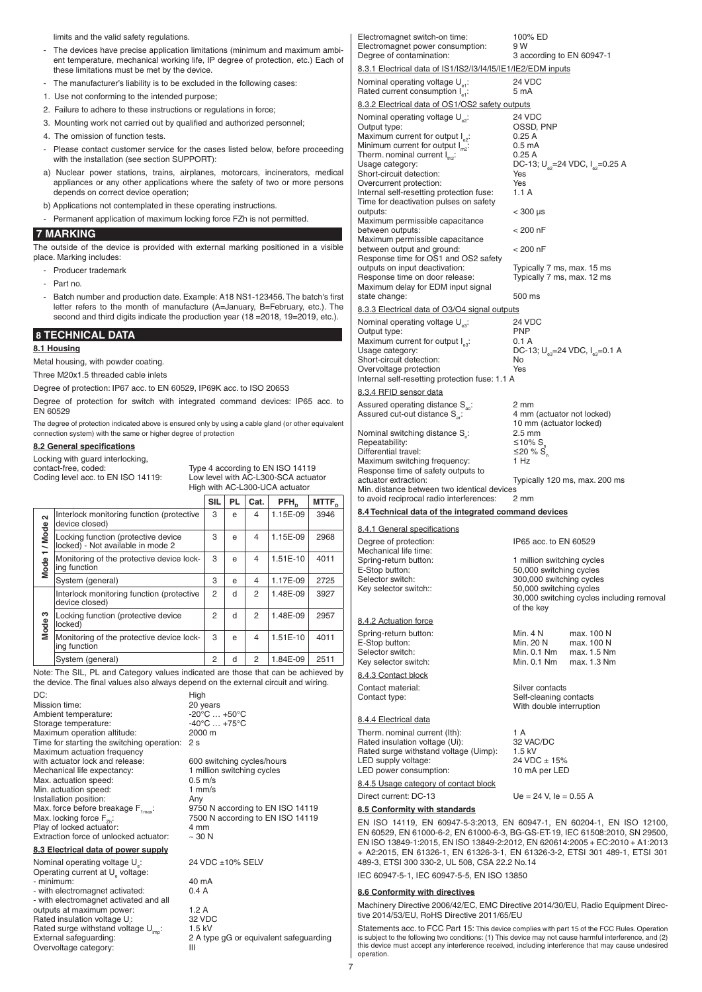|                                    | limits and the valid safety regulations.                                                                                                                                 |              |                                 |                                                          |                                        |                   | Electromagnet switch-on time:                                                                                                                                                                                                                                                                                  | 100% ED                                               |                                                         |
|------------------------------------|--------------------------------------------------------------------------------------------------------------------------------------------------------------------------|--------------|---------------------------------|----------------------------------------------------------|----------------------------------------|-------------------|----------------------------------------------------------------------------------------------------------------------------------------------------------------------------------------------------------------------------------------------------------------------------------------------------------------|-------------------------------------------------------|---------------------------------------------------------|
|                                    | - The devices have precise application limitations (minimum and maximum ambi-                                                                                            |              |                                 |                                                          |                                        |                   | Electromagnet power consumption:                                                                                                                                                                                                                                                                               | 9 W                                                   |                                                         |
|                                    | ent temperature, mechanical working life, IP degree of protection, etc.) Each of                                                                                         |              |                                 |                                                          |                                        |                   | Degree of contamination:                                                                                                                                                                                                                                                                                       | 3 according to EN 60947-1                             |                                                         |
|                                    | these limitations must be met by the device.                                                                                                                             |              |                                 |                                                          |                                        |                   | 8.3.1 Electrical data of IS1/IS2/I3/I4/I5/IE1/IE2/EDM inputs                                                                                                                                                                                                                                                   |                                                       |                                                         |
|                                    | The manufacturer's liability is to be excluded in the following cases:                                                                                                   |              |                                 |                                                          |                                        |                   | Nominal operating voltage $U_{\text{at}}$ :<br>Rated current consumption $I_{\alpha}$ :                                                                                                                                                                                                                        | 24 VDC<br>5 mA                                        |                                                         |
|                                    | 1. Use not conforming to the intended purpose;                                                                                                                           |              |                                 |                                                          |                                        |                   | 8.3.2 Electrical data of OS1/OS2 safety outputs                                                                                                                                                                                                                                                                |                                                       |                                                         |
|                                    | 2. Failure to adhere to these instructions or regulations in force;                                                                                                      |              |                                 |                                                          |                                        |                   | Nominal operating voltage $U_{\infty}$ :                                                                                                                                                                                                                                                                       | 24 VDC                                                |                                                         |
|                                    | 3. Mounting work not carried out by qualified and authorized personnel;                                                                                                  |              |                                 |                                                          |                                        |                   | Output type:                                                                                                                                                                                                                                                                                                   | OSSD, PNP                                             |                                                         |
|                                    | 4. The omission of function tests.                                                                                                                                       |              |                                 |                                                          |                                        |                   | Maximum current for output $I_{\text{eq}}$ :                                                                                                                                                                                                                                                                   | 0.25A                                                 |                                                         |
|                                    | Please contact customer service for the cases listed below, before proceeding                                                                                            |              |                                 |                                                          |                                        |                   | Minimum current for output $I_{m2}$ :<br>Therm. nominal current $I_{\text{th2}}$ :                                                                                                                                                                                                                             | 0.5 <sub>m</sub> A<br>0.25A                           |                                                         |
|                                    | with the installation (see section SUPPORT):                                                                                                                             |              |                                 |                                                          |                                        |                   | Usage category:                                                                                                                                                                                                                                                                                                |                                                       | DC-13; U <sub>e2</sub> =24 VDC, I <sub>e2</sub> =0.25 A |
|                                    | a) Nuclear power stations, trains, airplanes, motorcars, incinerators, medical                                                                                           |              |                                 |                                                          |                                        |                   | Short-circuit detection:                                                                                                                                                                                                                                                                                       | Yes                                                   |                                                         |
|                                    | appliances or any other applications where the safety of two or more persons<br>depends on correct device operation;                                                     |              |                                 |                                                          |                                        |                   | Overcurrent protection:<br>Internal self-resetting protection fuse:                                                                                                                                                                                                                                            | Yes<br>1.1A                                           |                                                         |
|                                    | b) Applications not contemplated in these operating instructions.                                                                                                        |              |                                 |                                                          |                                        |                   | Time for deactivation pulses on safety                                                                                                                                                                                                                                                                         |                                                       |                                                         |
|                                    | - Permanent application of maximum locking force FZh is not permitted.                                                                                                   |              |                                 |                                                          |                                        |                   | outputs:                                                                                                                                                                                                                                                                                                       | $<$ 300 $\mu$ s                                       |                                                         |
|                                    |                                                                                                                                                                          |              |                                 |                                                          |                                        |                   | Maximum permissible capacitance<br>between outputs:                                                                                                                                                                                                                                                            | $< 200$ nF                                            |                                                         |
|                                    | <b>7 MARKING</b>                                                                                                                                                         |              |                                 |                                                          |                                        |                   | Maximum permissible capacitance                                                                                                                                                                                                                                                                                |                                                       |                                                         |
|                                    | The outside of the device is provided with external marking positioned in a visible<br>place. Marking includes:                                                          |              |                                 |                                                          |                                        |                   | between output and ground:<br>Response time for OS1 and OS2 safety                                                                                                                                                                                                                                             | $< 200$ nF                                            |                                                         |
|                                    | Producer trademark                                                                                                                                                       |              |                                 |                                                          |                                        |                   | outputs on input deactivation:                                                                                                                                                                                                                                                                                 | Typically 7 ms, max. 15 ms                            |                                                         |
|                                    | - Part no.                                                                                                                                                               |              |                                 |                                                          |                                        |                   | Response time on door release:                                                                                                                                                                                                                                                                                 | Typically 7 ms, max. 12 ms                            |                                                         |
|                                    |                                                                                                                                                                          |              |                                 |                                                          |                                        |                   | Maximum delay for EDM input signal<br>state change:                                                                                                                                                                                                                                                            | 500 ms                                                |                                                         |
|                                    | Batch number and production date. Example: A18 NS1-123456. The batch's first<br>letter refers to the month of manufacture (A=January, B=February, etc.). The             |              |                                 |                                                          |                                        |                   |                                                                                                                                                                                                                                                                                                                |                                                       |                                                         |
|                                    | second and third digits indicate the production year (18 = 2018, 19 = 2019, etc.).                                                                                       |              |                                 |                                                          |                                        |                   | 8.3.3 Electrical data of O3/O4 signal outputs                                                                                                                                                                                                                                                                  |                                                       |                                                         |
|                                    |                                                                                                                                                                          |              |                                 |                                                          |                                        |                   | Nominal operating voltage $U_{\infty}$ :<br>Output type:                                                                                                                                                                                                                                                       | 24 VDC<br><b>PNP</b>                                  |                                                         |
|                                    | <b>8 TECHNICAL DATA</b>                                                                                                                                                  |              |                                 |                                                          |                                        |                   | Maximum current for output $I_{\alpha}$ :                                                                                                                                                                                                                                                                      | 0.1 A                                                 |                                                         |
|                                    | 8.1 Housing                                                                                                                                                              |              |                                 |                                                          |                                        |                   | Usage category:                                                                                                                                                                                                                                                                                                |                                                       | DC-13; $U_{eq}$ =24 VDC, $I_{eq}$ =0.1 A                |
|                                    | Metal housing, with powder coating.                                                                                                                                      |              |                                 |                                                          |                                        |                   | Short-circuit detection:<br>Overvoltage protection                                                                                                                                                                                                                                                             | No<br>Yes                                             |                                                         |
|                                    | Three M20x1.5 threaded cable inlets                                                                                                                                      |              |                                 |                                                          |                                        |                   | Internal self-resetting protection fuse: 1.1 A                                                                                                                                                                                                                                                                 |                                                       |                                                         |
|                                    | Degree of protection: IP67 acc. to EN 60529, IP69K acc. to ISO 20653                                                                                                     |              |                                 |                                                          |                                        |                   | 8.3.4 RFID sensor data                                                                                                                                                                                                                                                                                         |                                                       |                                                         |
|                                    | Degree of protection for switch with integrated command devices: IP65 acc. to                                                                                            |              |                                 |                                                          |                                        |                   | Assured operating distance S <sub>ao</sub> :                                                                                                                                                                                                                                                                   | 2 mm                                                  |                                                         |
|                                    | EN 60529                                                                                                                                                                 |              |                                 |                                                          |                                        |                   | Assured cut-out distance S <sub></sub> :                                                                                                                                                                                                                                                                       | 4 mm (actuator not locked)                            |                                                         |
|                                    | The degree of protection indicated above is ensured only by using a cable gland (or other equivalent<br>connection system) with the same or higher degree of protection  |              |                                 |                                                          |                                        |                   | Nominal switching distance S <sub>2</sub> :                                                                                                                                                                                                                                                                    | 10 mm (actuator locked)<br>$2.5 \text{ mm}$           |                                                         |
|                                    | 8.2 General specifications                                                                                                                                               |              |                                 |                                                          |                                        |                   | Repeatability:                                                                                                                                                                                                                                                                                                 | ≤10% S                                                |                                                         |
|                                    | Locking with guard interlocking,                                                                                                                                         |              |                                 |                                                          |                                        |                   | Differential travel:                                                                                                                                                                                                                                                                                           | ≤20 % $S$ .<br>1 Hz                                   |                                                         |
|                                    | contact-free, coded:                                                                                                                                                     |              |                                 |                                                          | Type 4 according to EN ISO 14119       |                   | Maximum switching frequency:<br>Response time of safety outputs to                                                                                                                                                                                                                                             |                                                       |                                                         |
|                                    | Coding level acc. to EN ISO 14119:                                                                                                                                       |              |                                 |                                                          | Low level with AC-L300-SCA actuator    |                   | actuator extraction:                                                                                                                                                                                                                                                                                           |                                                       | Typically 120 ms, max. 200 ms                           |
|                                    |                                                                                                                                                                          |              |                                 |                                                          |                                        |                   |                                                                                                                                                                                                                                                                                                                |                                                       |                                                         |
|                                    |                                                                                                                                                                          |              |                                 |                                                          | High with AC-L300-UCA actuator         |                   | Min. distance between two identical devices                                                                                                                                                                                                                                                                    |                                                       |                                                         |
|                                    |                                                                                                                                                                          |              | <b>SIL</b><br>PL                | Cat.                                                     | PFH <sub>D</sub>                       | MTTF <sub>D</sub> | to avoid reciprocal radio interferences:                                                                                                                                                                                                                                                                       | 2 mm                                                  |                                                         |
| $\sim$                             | Interlock monitoring function (protective                                                                                                                                |              | 3<br>e                          | 4                                                        | 1.15E-09                               | 3946              | 8.4 Technical data of the integrated command devices                                                                                                                                                                                                                                                           |                                                       |                                                         |
|                                    | device closed)                                                                                                                                                           |              |                                 |                                                          |                                        |                   | 8.4.1 General specifications                                                                                                                                                                                                                                                                                   |                                                       |                                                         |
|                                    | Locking function (protective device<br>locked) - Not available in mode 2                                                                                                 |              | 3<br>e                          | 4                                                        | 1.15E-09                               | 2968              | Degree of protection:                                                                                                                                                                                                                                                                                          | IP65 acc. to EN 60529                                 |                                                         |
| / Mode<br>$\overline{\phantom{0}}$ | Monitoring of the protective device lock-                                                                                                                                |              | 3<br>е                          | 4                                                        |                                        | 4011              | Mechanical life time:                                                                                                                                                                                                                                                                                          |                                                       |                                                         |
|                                    | ing function                                                                                                                                                             |              |                                 |                                                          | 1.51E-10                               |                   | Spring-return button:<br>E-Stop button:                                                                                                                                                                                                                                                                        | 1 million switching cycles<br>50,000 switching cycles |                                                         |
| Mode                               | System (general)                                                                                                                                                         |              | 3<br>е                          | 4                                                        | 1.17E-09                               | 2725              | Selector switch:                                                                                                                                                                                                                                                                                               | 300,000 switching cycles                              |                                                         |
|                                    | Interlock monitoring function (protective                                                                                                                                |              | $\overline{c}$<br>d             | $\overline{c}$                                           | 1.48E-09                               | 3927              | Key selector switch::                                                                                                                                                                                                                                                                                          | 50,000 switching cycles                               |                                                         |
|                                    | device closed)                                                                                                                                                           |              |                                 |                                                          |                                        |                   |                                                                                                                                                                                                                                                                                                                | of the key                                            | 30,000 switching cycles including removal               |
| S                                  | Locking function (protective device                                                                                                                                      |              | $\overline{c}$<br>d             | $\overline{c}$                                           | 1.48E-09                               | 2957              | 8.4.2 Actuation force                                                                                                                                                                                                                                                                                          |                                                       |                                                         |
|                                    | locked)                                                                                                                                                                  |              |                                 |                                                          |                                        |                   | Spring-return button:                                                                                                                                                                                                                                                                                          | Min. 4 N                                              | max. 100 N                                              |
| <b>Mode</b>                        | Monitoring of the protective device lock-<br>ing function                                                                                                                |              | 3<br>e                          | 4                                                        | 1.51E-10                               | 4011              | E-Stop button:                                                                                                                                                                                                                                                                                                 | Min. 20 N                                             | max. 100 N                                              |
|                                    |                                                                                                                                                                          |              |                                 |                                                          |                                        |                   | Selector switch:                                                                                                                                                                                                                                                                                               | Min. 0.1 Nm                                           | max. 1.5 Nm                                             |
|                                    | System (general)                                                                                                                                                         |              | $\overline{c}$<br>d             | 2                                                        | 1.84E-09                               | 2511              | Key selector switch:                                                                                                                                                                                                                                                                                           | Min. 0.1 Nm                                           | max. 1.3 Nm                                             |
|                                    | Note: The SIL, PL and Category values indicated are those that can be achieved by<br>the device. The final values also always depend on the external circuit and wiring. |              |                                 |                                                          |                                        |                   | 8.4.3 Contact block                                                                                                                                                                                                                                                                                            |                                                       |                                                         |
| DC:                                |                                                                                                                                                                          | High         |                                 |                                                          |                                        |                   | Contact material:<br>Contact type:                                                                                                                                                                                                                                                                             | Silver contacts<br>Self-cleaning contacts             |                                                         |
|                                    | Mission time:                                                                                                                                                            | 20 years     |                                 |                                                          |                                        |                   |                                                                                                                                                                                                                                                                                                                | With double interruption                              |                                                         |
|                                    | Ambient temperature:                                                                                                                                                     |              | $-20^{\circ}$ C $+50^{\circ}$ C |                                                          |                                        |                   | 8.4.4 Electrical data                                                                                                                                                                                                                                                                                          |                                                       |                                                         |
|                                    | Storage temperature:<br>Maximum operation altitude:                                                                                                                      | 2000 m       | $-40^{\circ}$ C $+75^{\circ}$ C |                                                          |                                        |                   | Therm. nominal current (lth):                                                                                                                                                                                                                                                                                  | 1 A                                                   |                                                         |
|                                    | Time for starting the switching operation: 2 s                                                                                                                           |              |                                 |                                                          |                                        |                   | Rated insulation voltage (Ui):                                                                                                                                                                                                                                                                                 | 32 VAC/DC                                             |                                                         |
|                                    | Maximum actuation frequency                                                                                                                                              |              |                                 |                                                          |                                        |                   | Rated surge withstand voltage (Uimp):                                                                                                                                                                                                                                                                          | $1.5$ kV                                              |                                                         |
|                                    | with actuator lock and release:<br>Mechanical life expectancy:                                                                                                           |              |                                 | 600 switching cycles/hours<br>1 million switching cycles |                                        |                   | LED supply voltage:<br>LED power consumption:                                                                                                                                                                                                                                                                  | 24 VDC ± 15%<br>10 mA per LED                         |                                                         |
|                                    | Max. actuation speed:                                                                                                                                                    | $0.5$ m/s    |                                 |                                                          |                                        |                   | 8.4.5 Usage category of contact block                                                                                                                                                                                                                                                                          |                                                       |                                                         |
|                                    | Min. actuation speed:                                                                                                                                                    | $1$ mm/s     |                                 |                                                          |                                        |                   | Direct current: DC-13                                                                                                                                                                                                                                                                                          | $Ue = 24$ V, $Ie = 0.55$ A                            |                                                         |
|                                    | Installation position:<br>Max. force before breakage F <sub>1max</sub> :                                                                                                 | Any          |                                 |                                                          | 9750 N according to EN ISO 14119       |                   | 8.5 Conformity with standards                                                                                                                                                                                                                                                                                  |                                                       |                                                         |
|                                    | Max. locking force $F_{2h}$ :                                                                                                                                            |              |                                 |                                                          | 7500 N according to EN ISO 14119       |                   | EN ISO 14119, EN 60947-5-3:2013, EN 60947-1, EN 60204-1, EN ISO 12100,                                                                                                                                                                                                                                         |                                                       |                                                         |
|                                    | Play of locked actuator:                                                                                                                                                 | 4 mm         |                                 |                                                          |                                        |                   | EN 60529, EN 61000-6-2, EN 61000-6-3, BG-GS-ET-19, IEC 61508:2010, SN 29500,                                                                                                                                                                                                                                   |                                                       |                                                         |
|                                    | Extraction force of unlocked actuator:                                                                                                                                   | $~\sim$ 30 N |                                 |                                                          |                                        |                   | EN ISO 13849-1:2015, EN ISO 13849-2:2012, EN 620614:2005 + EC:2010 + A1:2013                                                                                                                                                                                                                                   |                                                       |                                                         |
|                                    | 8.3 Electrical data of power supply                                                                                                                                      |              |                                 |                                                          |                                        |                   | + A2:2015, EN 61326-1, EN 61326-3-1, EN 61326-3-2, ETSI 301 489-1, ETSI 301                                                                                                                                                                                                                                    |                                                       |                                                         |
|                                    | Nominal operating voltage U.:<br>Operating current at U <sub>2</sub> voltage:                                                                                            |              | 24 VDC ±10% SELV                |                                                          |                                        |                   | 489-3, ETSI 300 330-2, UL 508, CSA 22.2 No.14                                                                                                                                                                                                                                                                  |                                                       |                                                         |
|                                    | - minimum:                                                                                                                                                               | 40 mA        |                                 |                                                          |                                        |                   | IEC 60947-5-1, IEC 60947-5-5, EN ISO 13850                                                                                                                                                                                                                                                                     |                                                       |                                                         |
|                                    | - with electromagnet activated:                                                                                                                                          | 0.4A         |                                 |                                                          |                                        |                   | 8.6 Conformity with directives                                                                                                                                                                                                                                                                                 |                                                       |                                                         |
|                                    | - with electromagnet activated and all<br>outputs at maximum power:                                                                                                      | 1.2A         |                                 |                                                          |                                        |                   | Machinery Directive 2006/42/EC, EMC Directive 2014/30/EU, Radio Equipment Direc-                                                                                                                                                                                                                               |                                                       |                                                         |
|                                    | Rated insulation voltage U:                                                                                                                                              | 32 VDC       |                                 |                                                          |                                        |                   | tive 2014/53/EU, RoHS Directive 2011/65/EU                                                                                                                                                                                                                                                                     |                                                       |                                                         |
|                                    | Rated surge withstand voltage U <sub>imp</sub> :<br>External safeguarding:                                                                                               | $1.5$ kV     |                                 |                                                          | 2 A type qG or equivalent safequarding |                   | Statements acc. to FCC Part 15: This device complies with part 15 of the FCC Rules. Operation<br>is subject to the following two conditions: (1) This device may not cause harmful interference, and (2)<br>this device must accept any interference received, including interference that may cause undesired |                                                       |                                                         |

 $\frac{1}{7}$